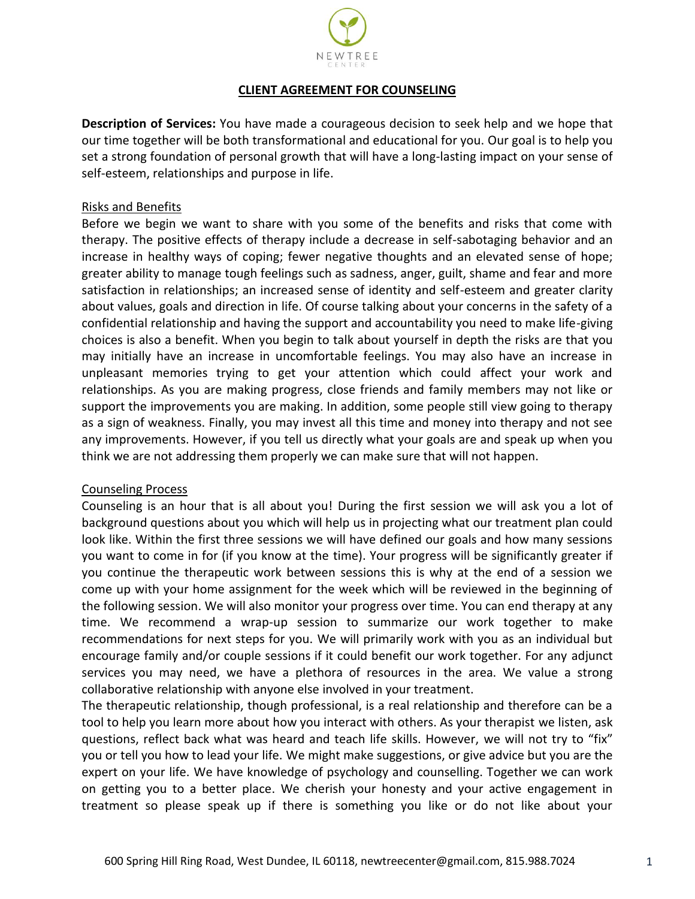

## **CLIENT AGREEMENT FOR COUNSELING**

**Description of Services:** You have made a courageous decision to seek help and we hope that our time together will be both transformational and educational for you. Our goal is to help you set a strong foundation of personal growth that will have a long-lasting impact on your sense of self-esteem, relationships and purpose in life.

### Risks and Benefits

Before we begin we want to share with you some of the benefits and risks that come with therapy. The positive effects of therapy include a decrease in self-sabotaging behavior and an increase in healthy ways of coping; fewer negative thoughts and an elevated sense of hope; greater ability to manage tough feelings such as sadness, anger, guilt, shame and fear and more satisfaction in relationships; an increased sense of identity and self-esteem and greater clarity about values, goals and direction in life. Of course talking about your concerns in the safety of a confidential relationship and having the support and accountability you need to make life-giving choices is also a benefit. When you begin to talk about yourself in depth the risks are that you may initially have an increase in uncomfortable feelings. You may also have an increase in unpleasant memories trying to get your attention which could affect your work and relationships. As you are making progress, close friends and family members may not like or support the improvements you are making. In addition, some people still view going to therapy as a sign of weakness. Finally, you may invest all this time and money into therapy and not see any improvements. However, if you tell us directly what your goals are and speak up when you think we are not addressing them properly we can make sure that will not happen.

### Counseling Process

Counseling is an hour that is all about you! During the first session we will ask you a lot of background questions about you which will help us in projecting what our treatment plan could look like. Within the first three sessions we will have defined our goals and how many sessions you want to come in for (if you know at the time). Your progress will be significantly greater if you continue the therapeutic work between sessions this is why at the end of a session we come up with your home assignment for the week which will be reviewed in the beginning of the following session. We will also monitor your progress over time. You can end therapy at any time. We recommend a wrap-up session to summarize our work together to make recommendations for next steps for you. We will primarily work with you as an individual but encourage family and/or couple sessions if it could benefit our work together. For any adjunct services you may need, we have a plethora of resources in the area. We value a strong collaborative relationship with anyone else involved in your treatment.

The therapeutic relationship, though professional, is a real relationship and therefore can be a tool to help you learn more about how you interact with others. As your therapist we listen, ask questions, reflect back what was heard and teach life skills. However, we will not try to "fix" you or tell you how to lead your life. We might make suggestions, or give advice but you are the expert on your life. We have knowledge of psychology and counselling. Together we can work on getting you to a better place. We cherish your honesty and your active engagement in treatment so please speak up if there is something you like or do not like about your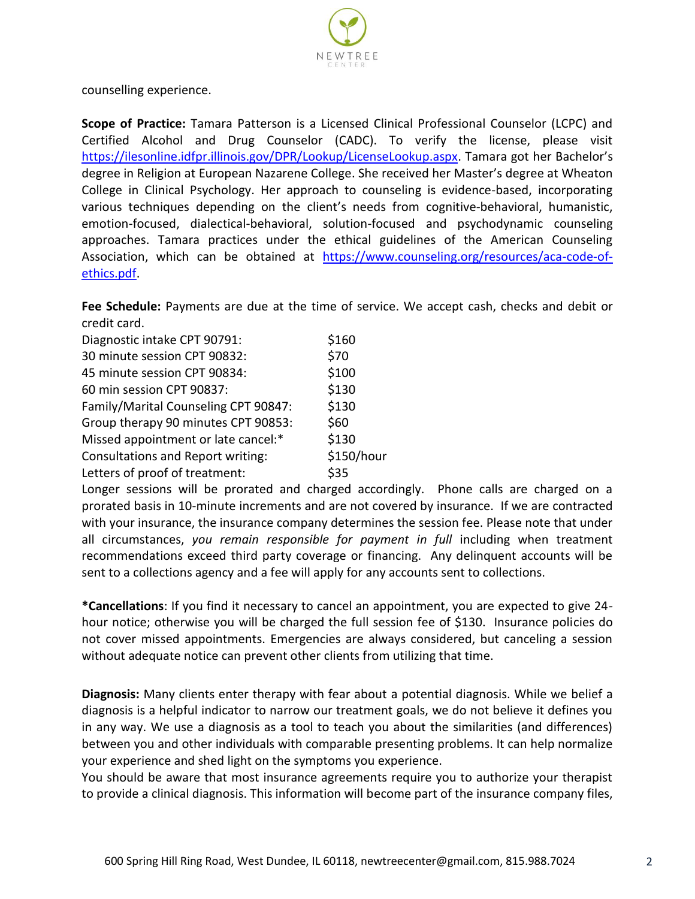

counselling experience.

**Scope of Practice:** Tamara Patterson is a Licensed Clinical Professional Counselor (LCPC) and Certified Alcohol and Drug Counselor (CADC). To verify the license, please visit [https://ilesonline.idfpr.illinois.gov/DPR/Lookup/LicenseLookup.aspx.](https://ilesonline.idfpr.illinois.gov/DPR/Lookup/LicenseLookup.aspx) Tamara got her Bachelor's degree in Religion at European Nazarene College. She received her Master's degree at Wheaton College in Clinical Psychology. Her approach to counseling is evidence-based, incorporating various techniques depending on the client's needs from cognitive-behavioral, humanistic, emotion-focused, dialectical-behavioral, solution-focused and psychodynamic counseling approaches. Tamara practices under the ethical guidelines of the American Counseling Association, which can be obtained at [https://www.counseling.org/resources/aca-code-of](https://www.counseling.org/resources/aca-code-of-ethics.pdf)[ethics.pdf.](https://www.counseling.org/resources/aca-code-of-ethics.pdf)

**Fee Schedule:** Payments are due at the time of service. We accept cash, checks and debit or credit card.

| Diagnostic intake CPT 90791:             | \$160      |
|------------------------------------------|------------|
| 30 minute session CPT 90832:             | \$70       |
| 45 minute session CPT 90834:             | \$100      |
| 60 min session CPT 90837:                | \$130      |
| Family/Marital Counseling CPT 90847:     | \$130      |
| Group therapy 90 minutes CPT 90853:      | \$60       |
| Missed appointment or late cancel:*      | \$130      |
| <b>Consultations and Report writing:</b> | \$150/hour |
| Letters of proof of treatment:           | \$35       |

Longer sessions will be prorated and charged accordingly. Phone calls are charged on a prorated basis in 10-minute increments and are not covered by insurance. If we are contracted with your insurance, the insurance company determines the session fee. Please note that under all circumstances, *you remain responsible for payment in full* including when treatment recommendations exceed third party coverage or financing. Any delinquent accounts will be sent to a collections agency and a fee will apply for any accounts sent to collections.

**\*Cancellations**: If you find it necessary to cancel an appointment, you are expected to give 24 hour notice; otherwise you will be charged the full session fee of \$130. Insurance policies do not cover missed appointments. Emergencies are always considered, but canceling a session without adequate notice can prevent other clients from utilizing that time.

**Diagnosis:** Many clients enter therapy with fear about a potential diagnosis. While we belief a diagnosis is a helpful indicator to narrow our treatment goals, we do not believe it defines you in any way. We use a diagnosis as a tool to teach you about the similarities (and differences) between you and other individuals with comparable presenting problems. It can help normalize your experience and shed light on the symptoms you experience.

You should be aware that most insurance agreements require you to authorize your therapist to provide a clinical diagnosis. This information will become part of the insurance company files,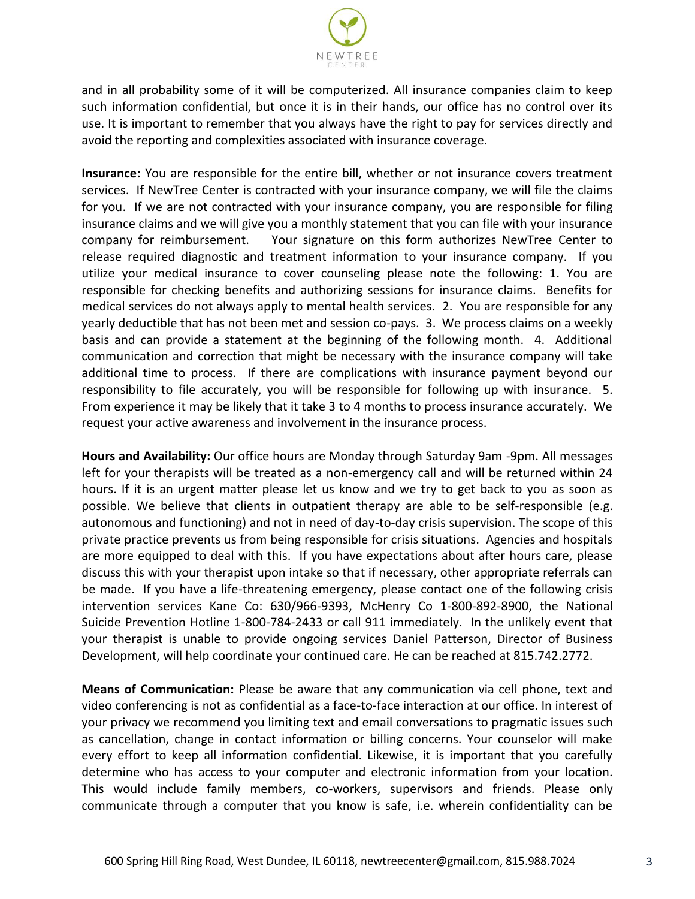

and in all probability some of it will be computerized. All insurance companies claim to keep such information confidential, but once it is in their hands, our office has no control over its use. It is important to remember that you always have the right to pay for services directly and avoid the reporting and complexities associated with insurance coverage.

**Insurance:** You are responsible for the entire bill, whether or not insurance covers treatment services. If NewTree Center is contracted with your insurance company, we will file the claims for you. If we are not contracted with your insurance company, you are responsible for filing insurance claims and we will give you a monthly statement that you can file with your insurance company for reimbursement. Your signature on this form authorizes NewTree Center to release required diagnostic and treatment information to your insurance company. If you utilize your medical insurance to cover counseling please note the following: 1. You are responsible for checking benefits and authorizing sessions for insurance claims. Benefits for medical services do not always apply to mental health services. 2. You are responsible for any yearly deductible that has not been met and session co-pays. 3. We process claims on a weekly basis and can provide a statement at the beginning of the following month. 4. Additional communication and correction that might be necessary with the insurance company will take additional time to process. If there are complications with insurance payment beyond our responsibility to file accurately, you will be responsible for following up with insurance. 5. From experience it may be likely that it take 3 to 4 months to process insurance accurately. We request your active awareness and involvement in the insurance process.

**Hours and Availability:** Our office hours are Monday through Saturday 9am -9pm. All messages left for your therapists will be treated as a non-emergency call and will be returned within 24 hours. If it is an urgent matter please let us know and we try to get back to you as soon as possible. We believe that clients in outpatient therapy are able to be self-responsible (e.g. autonomous and functioning) and not in need of day-to-day crisis supervision. The scope of this private practice prevents us from being responsible for crisis situations. Agencies and hospitals are more equipped to deal with this. If you have expectations about after hours care, please discuss this with your therapist upon intake so that if necessary, other appropriate referrals can be made. If you have a life-threatening emergency, please contact one of the following crisis intervention services Kane Co: 630/966-9393, McHenry Co 1-800-892-8900, the National Suicide Prevention Hotline 1-800-784-2433 or call 911 immediately. In the unlikely event that your therapist is unable to provide ongoing services Daniel Patterson, Director of Business Development, will help coordinate your continued care. He can be reached at 815.742.2772.

**Means of Communication:** Please be aware that any communication via cell phone, text and video conferencing is not as confidential as a face-to-face interaction at our office. In interest of your privacy we recommend you limiting text and email conversations to pragmatic issues such as cancellation, change in contact information or billing concerns. Your counselor will make every effort to keep all information confidential. Likewise, it is important that you carefully determine who has access to your computer and electronic information from your location. This would include family members, co-workers, supervisors and friends. Please only communicate through a computer that you know is safe, i.e. wherein confidentiality can be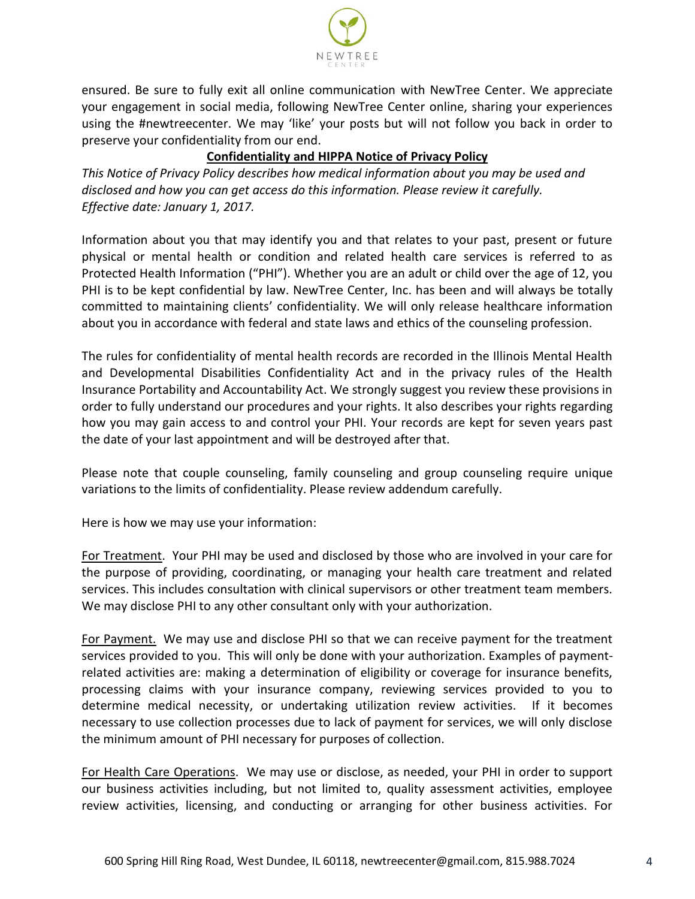

ensured. Be sure to fully exit all online communication with NewTree Center. We appreciate your engagement in social media, following NewTree Center online, sharing your experiences using the #newtreecenter. We may 'like' your posts but will not follow you back in order to preserve your confidentiality from our end.

# **Confidentiality and HIPPA Notice of Privacy Policy**

*This Notice of Privacy Policy describes how medical information about you may be used and disclosed and how you can get access do this information. Please review it carefully. Effective date: January 1, 2017.*

Information about you that may identify you and that relates to your past, present or future physical or mental health or condition and related health care services is referred to as Protected Health Information ("PHI"). Whether you are an adult or child over the age of 12, you PHI is to be kept confidential by law. NewTree Center, Inc. has been and will always be totally committed to maintaining clients' confidentiality. We will only release healthcare information about you in accordance with federal and state laws and ethics of the counseling profession.

The rules for confidentiality of mental health records are recorded in the Illinois Mental Health and Developmental Disabilities Confidentiality Act and in the privacy rules of the Health Insurance Portability and Accountability Act. We strongly suggest you review these provisions in order to fully understand our procedures and your rights. It also describes your rights regarding how you may gain access to and control your PHI. Your records are kept for seven years past the date of your last appointment and will be destroyed after that.

Please note that couple counseling, family counseling and group counseling require unique variations to the limits of confidentiality. Please review addendum carefully.

Here is how we may use your information:

For Treatment.Your PHI may be used and disclosed by those who are involved in your care for the purpose of providing, coordinating, or managing your health care treatment and related services. This includes consultation with clinical supervisors or other treatment team members. We may disclose PHI to any other consultant only with your authorization.

For Payment. We may use and disclose PHI so that we can receive payment for the treatment services provided to you. This will only be done with your authorization. Examples of paymentrelated activities are: making a determination of eligibility or coverage for insurance benefits, processing claims with your insurance company, reviewing services provided to you to determine medical necessity, or undertaking utilization review activities. If it becomes necessary to use collection processes due to lack of payment for services, we will only disclose the minimum amount of PHI necessary for purposes of collection.

For Health Care Operations.We may use or disclose, as needed, your PHI in order to support our business activities including, but not limited to, quality assessment activities, employee review activities, licensing, and conducting or arranging for other business activities. For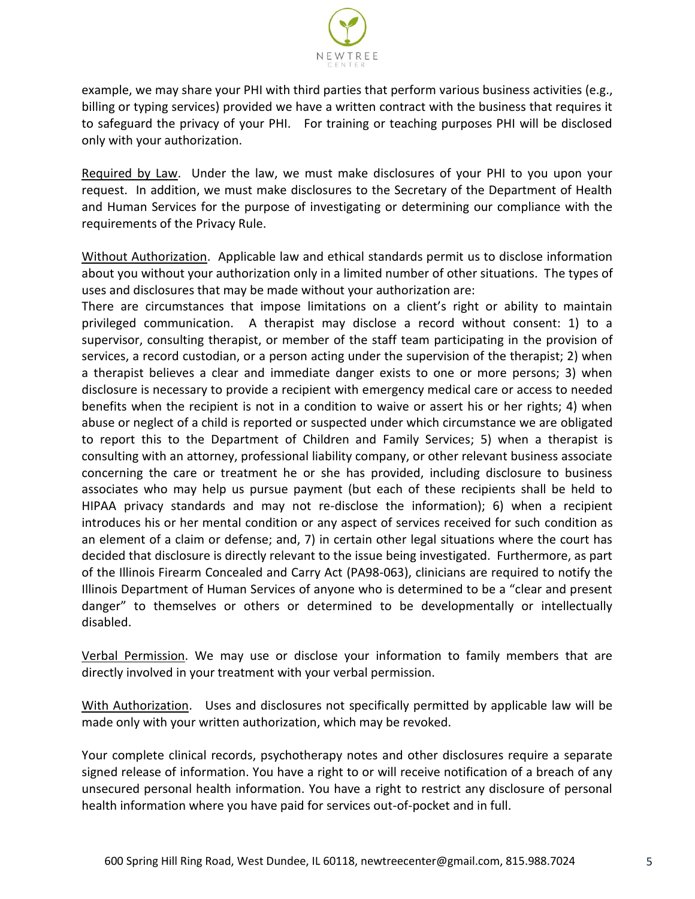

example, we may share your PHI with third parties that perform various business activities (e.g., billing or typing services) provided we have a written contract with the business that requires it to safeguard the privacy of your PHI. For training or teaching purposes PHI will be disclosed only with your authorization.

Required by Law. Under the law, we must make disclosures of your PHI to you upon your request. In addition, we must make disclosures to the Secretary of the Department of Health and Human Services for the purpose of investigating or determining our compliance with the requirements of the Privacy Rule.

Without Authorization. Applicable law and ethical standards permit us to disclose information about you without your authorization only in a limited number of other situations. The types of uses and disclosures that may be made without your authorization are:

There are circumstances that impose limitations on a client's right or ability to maintain privileged communication. A therapist may disclose a record without consent: 1) to a supervisor, consulting therapist, or member of the staff team participating in the provision of services, a record custodian, or a person acting under the supervision of the therapist; 2) when a therapist believes a clear and immediate danger exists to one or more persons; 3) when disclosure is necessary to provide a recipient with emergency medical care or access to needed benefits when the recipient is not in a condition to waive or assert his or her rights; 4) when abuse or neglect of a child is reported or suspected under which circumstance we are obligated to report this to the Department of Children and Family Services; 5) when a therapist is consulting with an attorney, professional liability company, or other relevant business associate concerning the care or treatment he or she has provided, including disclosure to business associates who may help us pursue payment (but each of these recipients shall be held to HIPAA privacy standards and may not re-disclose the information); 6) when a recipient introduces his or her mental condition or any aspect of services received for such condition as an element of a claim or defense; and, 7) in certain other legal situations where the court has decided that disclosure is directly relevant to the issue being investigated. Furthermore, as part of the Illinois Firearm Concealed and Carry Act (PA98-063), clinicians are required to notify the Illinois Department of Human Services of anyone who is determined to be a "clear and present danger" to themselves or others or determined to be developmentally or intellectually disabled.

Verbal Permission. We may use or disclose your information to family members that are directly involved in your treatment with your verbal permission.

With Authorization. Uses and disclosures not specifically permitted by applicable law will be made only with your written authorization, which may be revoked.

Your complete clinical records, psychotherapy notes and other disclosures require a separate signed release of information. You have a right to or will receive notification of a breach of any unsecured personal health information. You have a right to restrict any disclosure of personal health information where you have paid for services out-of-pocket and in full.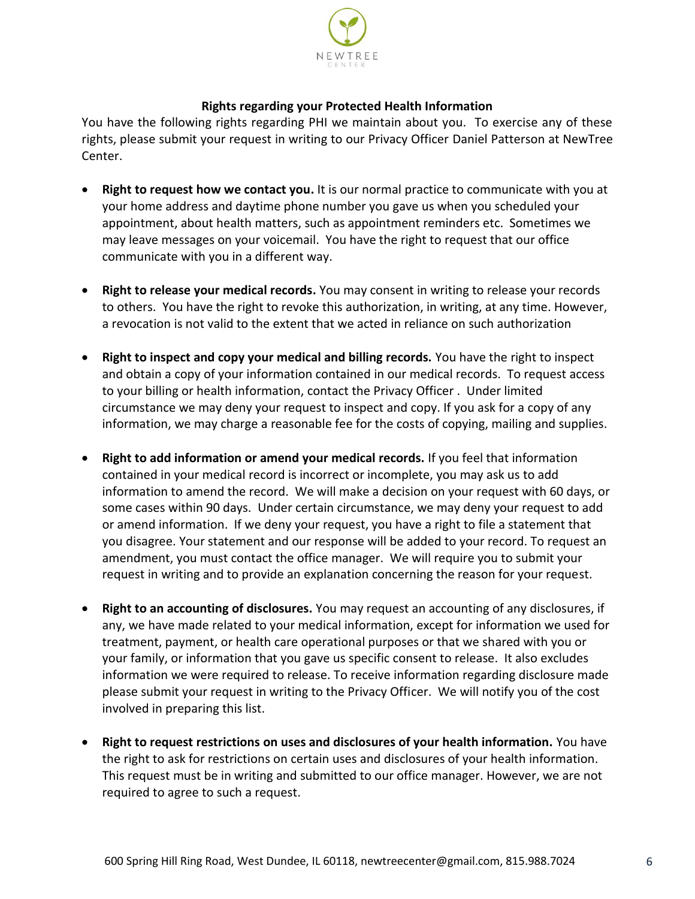

## **Rights regarding your Protected Health Information**

You have the following rights regarding PHI we maintain about you. To exercise any of these rights, please submit your request in writing to our Privacy Officer Daniel Patterson at NewTree Center.

- **Right to request how we contact you.** It is our normal practice to communicate with you at your home address and daytime phone number you gave us when you scheduled your appointment, about health matters, such as appointment reminders etc. Sometimes we may leave messages on your voicemail. You have the right to request that our office communicate with you in a different way.
- **Right to release your medical records.** You may consent in writing to release your records to others. You have the right to revoke this authorization, in writing, at any time. However, a revocation is not valid to the extent that we acted in reliance on such authorization
- **Right to inspect and copy your medical and billing records.** You have the right to inspect and obtain a copy of your information contained in our medical records. To request access to your billing or health information, contact the Privacy Officer . Under limited circumstance we may deny your request to inspect and copy. If you ask for a copy of any information, we may charge a reasonable fee for the costs of copying, mailing and supplies.
- **Right to add information or amend your medical records.** If you feel that information contained in your medical record is incorrect or incomplete, you may ask us to add information to amend the record. We will make a decision on your request with 60 days, or some cases within 90 days. Under certain circumstance, we may deny your request to add or amend information. If we deny your request, you have a right to file a statement that you disagree. Your statement and our response will be added to your record. To request an amendment, you must contact the office manager. We will require you to submit your request in writing and to provide an explanation concerning the reason for your request.
- **Right to an accounting of disclosures.** You may request an accounting of any disclosures, if any, we have made related to your medical information, except for information we used for treatment, payment, or health care operational purposes or that we shared with you or your family, or information that you gave us specific consent to release. It also excludes information we were required to release. To receive information regarding disclosure made please submit your request in writing to the Privacy Officer. We will notify you of the cost involved in preparing this list.
- **Right to request restrictions on uses and disclosures of your health information.** You have the right to ask for restrictions on certain uses and disclosures of your health information. This request must be in writing and submitted to our office manager. However, we are not required to agree to such a request.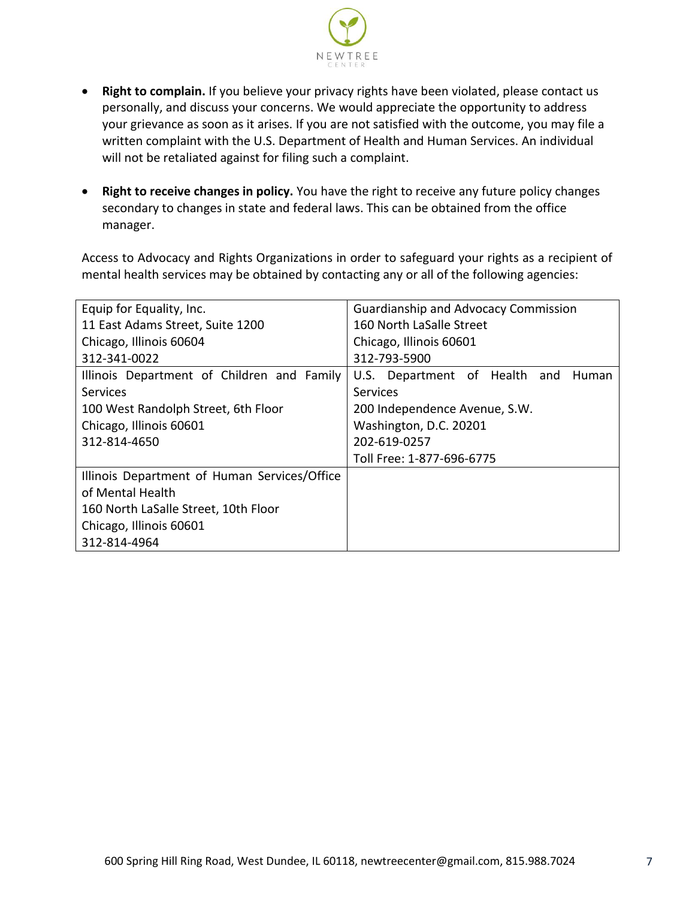

- **Right to complain.** If you believe your privacy rights have been violated, please contact us personally, and discuss your concerns. We would appreciate the opportunity to address your grievance as soon as it arises. If you are not satisfied with the outcome, you may file a written complaint with the U.S. Department of Health and Human Services. An individual will not be retaliated against for filing such a complaint.
- **Right to receive changes in policy.** You have the right to receive any future policy changes secondary to changes in state and federal laws. This can be obtained from the office manager.

Access to Advocacy and Rights Organizations in order to safeguard your rights as a recipient of mental health services may be obtained by contacting any or all of the following agencies:

| Equip for Equality, Inc.                     | <b>Guardianship and Advocacy Commission</b> |  |
|----------------------------------------------|---------------------------------------------|--|
| 11 East Adams Street, Suite 1200             | 160 North LaSalle Street                    |  |
| Chicago, Illinois 60604                      | Chicago, Illinois 60601                     |  |
| 312-341-0022                                 | 312-793-5900                                |  |
| Illinois Department of Children and Family   | U.S. Department of Health and<br>Human      |  |
| <b>Services</b>                              | Services                                    |  |
| 100 West Randolph Street, 6th Floor          | 200 Independence Avenue, S.W.               |  |
| Chicago, Illinois 60601                      | Washington, D.C. 20201                      |  |
| 312-814-4650                                 | 202-619-0257                                |  |
|                                              | Toll Free: 1-877-696-6775                   |  |
| Illinois Department of Human Services/Office |                                             |  |
| of Mental Health                             |                                             |  |
| 160 North LaSalle Street, 10th Floor         |                                             |  |
| Chicago, Illinois 60601                      |                                             |  |
| 312-814-4964                                 |                                             |  |